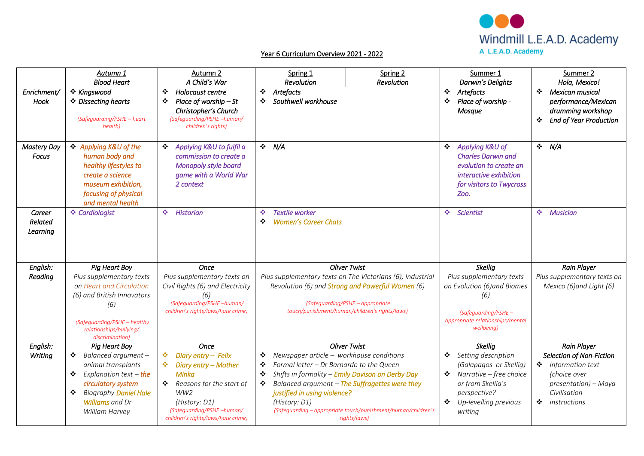

## Year 6 Curriculum Overview 2021 - 2022

|                               | Autumn 1<br><b>Blood Heart</b>                                                                                                                                                                              | Autumn 2<br>A Child's War                                                                                                                                                                                   | Spring 1<br>Revolution                                                                                                                                    | Spring 2<br>Revolution                                                                                                                                                                                                             | Summer 1<br>Darwin's Delights                                                                                                                                              | Summer 2<br>Hola, Mexico!                                                                                                                                |
|-------------------------------|-------------------------------------------------------------------------------------------------------------------------------------------------------------------------------------------------------------|-------------------------------------------------------------------------------------------------------------------------------------------------------------------------------------------------------------|-----------------------------------------------------------------------------------------------------------------------------------------------------------|------------------------------------------------------------------------------------------------------------------------------------------------------------------------------------------------------------------------------------|----------------------------------------------------------------------------------------------------------------------------------------------------------------------------|----------------------------------------------------------------------------------------------------------------------------------------------------------|
| Enrichment/<br>Hook           | ❖ Kingswood<br>❖ Dissecting hearts<br>(Safeguarding/PSHE - heart<br>health)                                                                                                                                 | ❖<br>Holocaust centre<br>Place of worship $-St$<br>❖<br>Christopher's Church<br>(Safeguarding/PSHE -human/<br>children's rights)                                                                            | ❖<br>Artefacts<br>Southwell workhouse<br>❖                                                                                                                |                                                                                                                                                                                                                                    | $\bullet$<br>Artefacts<br>Place of worship -<br>❖<br>Mosque                                                                                                                | $\mathbf{A}$<br>Mexican musical<br>performance/Mexican<br>drumming workshop<br><b>End of Year Production</b><br>❖                                        |
| <b>Mastery Day</b><br>Focus   | Applying K&U of the<br>human body and<br>healthy lifestyles to<br>create a science<br>museum exhibition,<br>focusing of physical<br>and mental health                                                       | Applying K&U to fulfil a<br>❖<br>commission to create a<br>Monopoly style board<br>game with a World War<br>2 context                                                                                       | N/A<br>$\mathcal{L}$                                                                                                                                      |                                                                                                                                                                                                                                    | Applying K&U of<br>❖<br><b>Charles Darwin and</b><br>evolution to create an<br>interactive exhibition<br>for visitors to Twycross<br>Zoo.                                  | $\div$ N/A                                                                                                                                               |
| Career<br>Related<br>Learning | ❖ Cardiologist                                                                                                                                                                                              | 壘<br><b>Historian</b>                                                                                                                                                                                       | <b>Textile worker</b><br>壘<br><b>Women's Career Chats</b><br>❖                                                                                            |                                                                                                                                                                                                                                    | <b>SALE</b><br>Scientist                                                                                                                                                   | ❖ Musician                                                                                                                                               |
| English:<br>Reading           | <b>Pig Heart Boy</b><br>Plus supplementary texts<br>on Heart and Circulation<br>(6) and British Innovators<br>(6)<br>(Safeguarding/PSHE - healthy<br>relationships/bullying/<br>discrimination)             | <b>Once</b><br>Plus supplementary texts on<br>Civil Rights (6) and Electricity<br>(6)<br>(Safeguarding/PSHE -human/<br>children's rights/laws/hate crime)                                                   |                                                                                                                                                           | <b>Oliver Twist</b><br>Plus supplementary texts on The Victorians (6), Industrial<br>Revolution (6) and <b>Strong and Powerful Women</b> (6)<br>(Safeguarding/PSHE - appropriate<br>touch/punishment/human/children's rights/laws) | <b>Skellig</b><br>Plus supplementary texts<br>on Evolution (6) and Biomes<br>(6)<br>(Safeguarding/PSHE -<br>appropriate relationships/mental<br>wellbeing)                 | <b>Rain Player</b><br>Plus supplementary texts on<br>Mexico (6) and Light (6)                                                                            |
| English:<br>Writing           | <b>Pig Heart Boy</b><br>Balanced argument-<br>❖<br>animal transplants<br>Explanation text – the<br>❖<br>circulatory system<br><b>Biography Daniel Hale</b><br>❖<br><b>Williams</b> and Dr<br>William Harvey | Once<br>Diary entry - Felix<br>❖<br>Diary entry - Mother<br>豪。<br><b>Minka</b><br>Reasons for the start of<br>❖<br>WW2<br>(History: D1)<br>(Safeguarding/PSHE -human/<br>children's rights/laws/hate crime) | Newspaper article - workhouse conditions<br>❖<br>Formal letter - Dr Barnardo to the Queen<br>❖<br>❖<br>❖<br>justified in using violence?<br>(History: D1) | <b>Oliver Twist</b><br>Shifts in formality - Emily Davison on Derby Day<br>Balanced argument - The Suffragettes were they<br>(Safeguarding - appropriate touch/punishment/human/children's<br>rights/laws)                         | <b>Skellig</b><br>Setting description<br>(Galapagos or Skellig)<br>❖ Narrative – free choice<br>or from Skellig's<br>perspective?<br>Up-levelling previous<br>❖<br>writing | <b>Rain Player</b><br>Selection of Non-Fiction<br>❖ Information text<br>(choice over<br>presentation) – Maya<br>Civilisation<br>❖<br><i>Instructions</i> |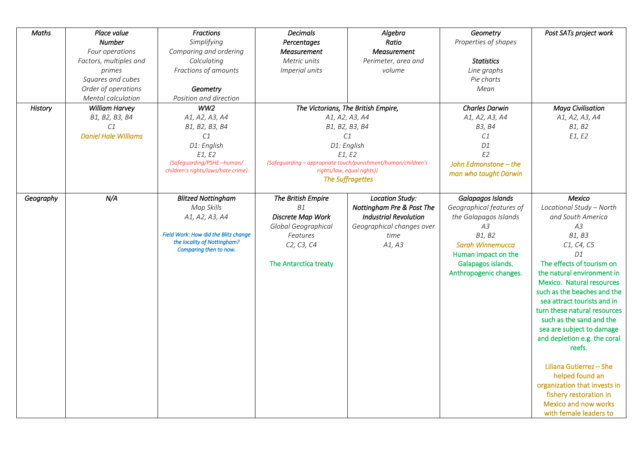| <b>Maths</b> | Place value                 | <b>Fractions</b>                     | <b>Decimals</b>       | Algebra                                                       | Geometry                 | Post SATs project work       |
|--------------|-----------------------------|--------------------------------------|-----------------------|---------------------------------------------------------------|--------------------------|------------------------------|
|              | <b>Number</b>               | Simplifying                          | Percentages           | Ratio                                                         | Properties of shapes     |                              |
|              | Four operations             | Comparing and ordering               | <b>Measurement</b>    | <b>Measurement</b>                                            |                          |                              |
|              | Factors, multiples and      | Calculating                          | Metric units          | Perimeter, area and                                           | <b>Statistics</b>        |                              |
|              | primes                      | Fractions of amounts                 | Imperial units        | volume                                                        | Line graphs              |                              |
|              | Squares and cubes           |                                      |                       |                                                               | Pie charts               |                              |
|              |                             |                                      |                       |                                                               |                          |                              |
|              | Order of operations         | Geometry                             |                       |                                                               | Mean                     |                              |
|              | Mental calculation          | Position and direction               |                       |                                                               |                          |                              |
| History      | William Harvey              | WW2                                  |                       | The Victorians, The British Empire,                           | <b>Charles Darwin</b>    | <b>Maya Civilisation</b>     |
|              | B1, B2, B3, B4              | A1, A2, A3, A4                       |                       | A1, A2, A3, A4                                                | A1, A2, A3, A4           | A1, A2, A3, A4               |
|              | C1                          | B1, B2, B3, B4                       |                       | B1, B2, B3, B4                                                | B3, B4                   | B1, B2                       |
|              | <b>Daniel Hale Williams</b> | C1                                   |                       | C1                                                            | C1                       | E1, E2                       |
|              |                             | D1: English                          |                       | D1: English                                                   | D <sub>1</sub>           |                              |
|              |                             | E1, E2                               |                       | E1, E2                                                        | E2                       |                              |
|              |                             | (Safeguarding/PSHE -human/           |                       | (Safeguarding – appropriate touch/punishment/human/children's | John Edmonstone - the    |                              |
|              |                             | children's rights/laws/hate crime)   |                       | rights/law, equal rights))                                    | man who taught Darwin    |                              |
|              |                             |                                      |                       | <b>The Suffragettes</b>                                       |                          |                              |
| Geography    | N/A                         | <b>Blitzed Nottingham</b>            | The British Empire    | <b>Location Study:</b>                                        | Galapagos Islands        | Mexico                       |
|              |                             | Map Skills                           | <b>B1</b>             | Nottingham Pre & Post The                                     | Geographical features of | Locational Study - North     |
|              |                             |                                      | Discrete Map Work     | <b>Industrial Revolution</b>                                  | the Galapagos Islands    | and South America            |
|              |                             | A1, A2, A3, A4                       |                       |                                                               |                          |                              |
|              |                             | Field Work: How did the Blitz change | Global Geographical   | Geographical changes over                                     | A3                       | A3                           |
|              |                             | the locality of Nottingham?          | Features              | time                                                          | B1, B2                   | B1, B3                       |
|              |                             | Comparing then to now.               | C2, C3, C4            | A1, A3                                                        | <b>Sarah Winnemucca</b>  | C1, C4, C5                   |
|              |                             |                                      |                       |                                                               | Human impact on the      | D1                           |
|              |                             |                                      | The Antarctica treaty |                                                               | Galapagos islands.       | The effects of tourism on    |
|              |                             |                                      |                       |                                                               | Anthropogenic changes.   | the natural environment in   |
|              |                             |                                      |                       |                                                               |                          | Mexico. Natural resources    |
|              |                             |                                      |                       |                                                               |                          | such as the beaches and the  |
|              |                             |                                      |                       |                                                               |                          | sea attract tourists and in  |
|              |                             |                                      |                       |                                                               |                          | turn these natural resources |
|              |                             |                                      |                       |                                                               |                          | such as the sand and the     |
|              |                             |                                      |                       |                                                               |                          | sea are subject to damage    |
|              |                             |                                      |                       |                                                               |                          | and depletion e.g. the coral |
|              |                             |                                      |                       |                                                               |                          | reefs.                       |
|              |                             |                                      |                       |                                                               |                          |                              |
|              |                             |                                      |                       |                                                               |                          | Liliana Gutierrez - She      |
|              |                             |                                      |                       |                                                               |                          | helped found an              |
|              |                             |                                      |                       |                                                               |                          | organization that invests in |
|              |                             |                                      |                       |                                                               |                          | fishery restoration in       |
|              |                             |                                      |                       |                                                               |                          | Mexico and now works         |
|              |                             |                                      |                       |                                                               |                          | with female leaders to       |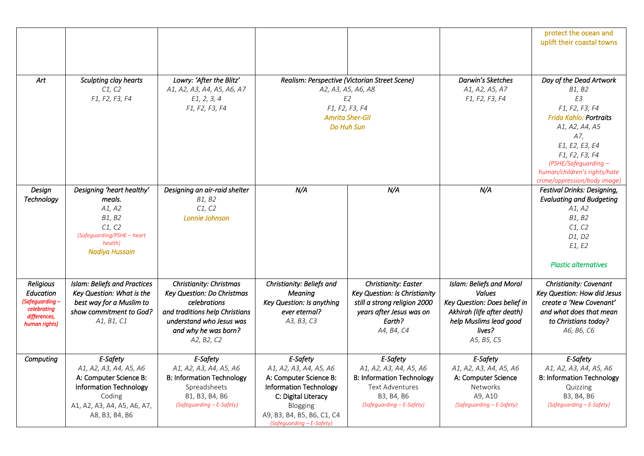|                  |                                     |                                             |                               |                                               |                                      | protect the ocean and                   |
|------------------|-------------------------------------|---------------------------------------------|-------------------------------|-----------------------------------------------|--------------------------------------|-----------------------------------------|
|                  |                                     |                                             |                               |                                               |                                      | uplift their coastal towns              |
|                  |                                     |                                             |                               |                                               |                                      |                                         |
|                  |                                     |                                             |                               |                                               |                                      |                                         |
|                  |                                     |                                             |                               |                                               |                                      |                                         |
| Art              | Sculpting clay hearts               | Lowry: 'After the Blitz'                    |                               | Realism: Perspective (Victorian Street Scene) | Darwin's Sketches                    | Day of the Dead Artwork                 |
|                  | C1, C2                              | A1, A2, A3, A4, A5, A6, A7                  |                               | A2, A3, A5, A6, A8                            | A1, A2, A5, A7                       | B1, B2                                  |
|                  | F1, F2, F3, F4                      | E1, 2, 3, 4                                 |                               | E <sub>2</sub>                                | F1, F2, F3, F4                       | E3                                      |
|                  |                                     | F1, F2, F3, F4                              |                               | F1, F2, F3, F4                                |                                      | F1, F2, F3, F4                          |
|                  |                                     |                                             |                               | <b>Amrita Sher-Gil</b>                        |                                      | <b>Frida Kahlo: Portraits</b>           |
|                  |                                     |                                             |                               | Do Huh Sun                                    |                                      | A1, A2, A4, A5                          |
|                  |                                     |                                             |                               |                                               |                                      | A7,                                     |
|                  |                                     |                                             |                               |                                               |                                      | E1, E2, E3, E4                          |
|                  |                                     |                                             |                               |                                               |                                      | F1, F2, F3, F4                          |
|                  |                                     |                                             |                               |                                               |                                      | (PSHE/Safeguarding -                    |
|                  |                                     |                                             |                               |                                               |                                      | human/children's rights/hate            |
|                  |                                     |                                             |                               |                                               |                                      | crime/oppression/body image)            |
| Design           | Designing 'heart healthy'           | Designing an air-raid shelter               | N/A                           | N/A                                           | N/A                                  | <b>Festival Drinks: Designing,</b>      |
| Technology       | meals.                              | B1, B2                                      |                               |                                               |                                      | <b>Evaluating and Budgeting</b>         |
|                  | A1, A2                              | C1, C2                                      |                               |                                               |                                      | A1, A2                                  |
|                  | B1, B2                              | Lonnie Johnson                              |                               |                                               |                                      | B1, B2                                  |
|                  | C1, C2                              |                                             |                               |                                               |                                      | C1, C2                                  |
|                  | (Safeguarding/PSHE - heart          |                                             |                               |                                               |                                      | D1, D2                                  |
|                  | health)                             |                                             |                               |                                               |                                      | E1, E2                                  |
|                  | Nadiya Hussain                      |                                             |                               |                                               |                                      |                                         |
|                  |                                     |                                             |                               |                                               |                                      | <b>Plastic alternatives</b>             |
|                  |                                     |                                             |                               |                                               |                                      |                                         |
| <b>Religious</b> | <b>Islam: Beliefs and Practices</b> | Christianity: Christmas                     | Christianity: Beliefs and     | Christianity: Easter                          | <b>Islam: Beliefs and Moral</b>      | Christianity: Covenant                  |
| <b>Education</b> | Key Question: What is the           | Key Question: Do Christmas                  | <b>Meaning</b>                | Key Question: Is Christianity                 | <b>Values</b>                        | Key Question: How did Jesus             |
| (Safeguarding-   | best way for a Muslim to            | celebrations                                | Key Question: Is anything     | still a strong religion 2000                  | Key Question: Does belief in         | create a 'New Covenant'                 |
| celebrating      | show commitment to God?             | and traditions help Christians              | ever eternal?                 | years after Jesus was on                      | Akhirah (life after death)           | and what does that mean                 |
| differences,     | A1, B1, C1                          | understand who Jesus was                    | A3, B3, C3                    | Earth?                                        | help Muslims lead good               | to Christians today?                    |
| human rights)    |                                     | and why he was born?                        |                               |                                               | lives?                               |                                         |
|                  |                                     |                                             |                               | A4, B4, C4                                    |                                      | A6, B6, C6                              |
|                  |                                     | A2, B2, C2                                  |                               |                                               | A5, B5, C5                           |                                         |
| Computing        | E-Safety                            | E-Safety                                    | E-Safety                      | E-Safety                                      | E-Safety                             | E-Safety                                |
|                  | A1, A2, A3, A4, A5, A6              | A1, A2, A3, A4, A5, A6                      | A1, A2, A3, A4, A5, A6        | A1, A2, A3, A4, A5, A6                        | A1, A2, A3, A4, A5, A6               | A1, A2, A3, A4, A5, A6                  |
|                  | A: Computer Science B:              | <b>B: Information Technology</b>            | A: Computer Science B:        | <b>B: Information Technology</b>              | A: Computer Science                  | <b>B: Information Technology</b>        |
|                  | <b>Information Technology</b>       | Spreadsheets                                | <b>Information Technology</b> | <b>Text Adventures</b>                        | Networks                             | Quizzing                                |
|                  |                                     |                                             |                               |                                               |                                      |                                         |
|                  | Coding                              | B1, B3, B4, B6<br>(Safeguarding - E-Safety) | C: Digital Literacy           | B3, B4, B6<br>(Safeguarding - E-Safety)       | A9, A10<br>(Safeguarding - E-Safety) | B3, B4, B6<br>(Safeguarding - E-Safety) |
|                  | A1, A2, A3, A4, A5, A6, A7,         |                                             | Blogging                      |                                               |                                      |                                         |
|                  | A8, B3, B4, B6                      |                                             | A9, B3, B4, B5, B6, C1, C4    |                                               |                                      |                                         |
|                  |                                     |                                             | (Safeguarding - E-Safety)     |                                               |                                      |                                         |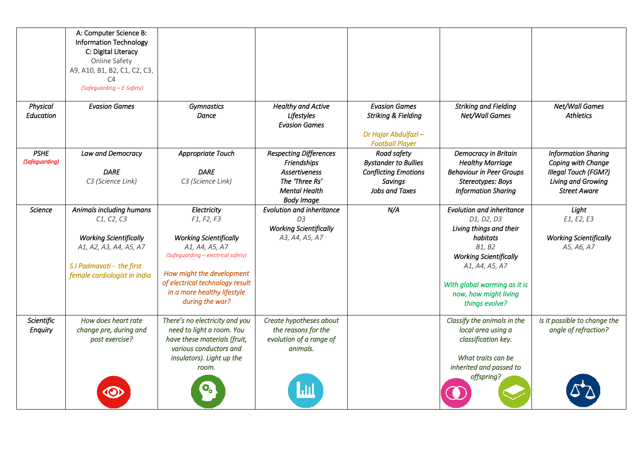|                               | A: Computer Science B:<br><b>Information Technology</b><br>C: Digital Literacy<br>Online Safety<br>A9, A10, B1, B2, C1, C2, C3,<br>C <sub>4</sub><br>(Safeguarding - E-Safety) |                                                                                                                                                                                                                                      |                                                                                                                                     |                                                                                                               |                                                                                                                                                                                                                               |                                                                                                                       |
|-------------------------------|--------------------------------------------------------------------------------------------------------------------------------------------------------------------------------|--------------------------------------------------------------------------------------------------------------------------------------------------------------------------------------------------------------------------------------|-------------------------------------------------------------------------------------------------------------------------------------|---------------------------------------------------------------------------------------------------------------|-------------------------------------------------------------------------------------------------------------------------------------------------------------------------------------------------------------------------------|-----------------------------------------------------------------------------------------------------------------------|
| Physical<br><b>Education</b>  | <b>Evasion Games</b>                                                                                                                                                           | <b>Gymnastics</b><br>Dance                                                                                                                                                                                                           | <b>Healthy and Active</b><br>Lifestyles<br><b>Evasion Games</b>                                                                     | <b>Evasion Games</b><br><b>Striking &amp; Fielding</b><br>Dr Hajar Abdulfazl-<br><b>Football Player</b>       | <b>Striking and Fielding</b><br>Net/Wall Games                                                                                                                                                                                | Net/Wall Games<br><b>Athletics</b>                                                                                    |
| <b>PSHE</b><br>(Safeguarding) | Law and Democracy<br><b>DARE</b><br>C3 (Science Link)                                                                                                                          | Appropriate Touch<br><b>DARE</b><br>C3 (Science Link)                                                                                                                                                                                | <b>Respecting Differences</b><br>Friendships<br><b>Assertiveness</b><br>The 'Three Rs'<br><b>Mental Health</b><br><b>Body Image</b> | Road safety<br><b>Bystander to Bullies</b><br><b>Conflicting Emotions</b><br><b>Savinas</b><br>Jobs and Taxes | Democracy in Britain<br><b>Healthy Marriage</b><br><b>Behaviour in Peer Groups</b><br>Stereotypes: Boys<br><b>Information Sharing</b>                                                                                         | <b>Information Sharing</b><br>Coping with Change<br>Illegal Touch (FGM?)<br>Living and Growing<br><b>Street Aware</b> |
| <b>Science</b>                | Animals including humans<br>C1, C2, C3<br><b>Working Scientifically</b><br>A1, A2, A3, A4, A5, A7<br>S.I Padmavati - the first<br>female cardiologist in India                 | Electricity<br>F1, F2, F3<br><b>Working Scientifically</b><br>A1, A4, A5, A7<br>(Safeguarding - electrical safety)<br>How might the development<br>of electrical technology result<br>in a more healthy lifestyle<br>during the war? | <b>Evolution and inheritance</b><br>D3<br><b>Working Scientifically</b><br>A3, A4, A5, A7                                           | N/A                                                                                                           | <b>Evolution and inheritance</b><br>D1, D2, D3<br>Living things and their<br>habitats<br>B1, B2<br><b>Working Scientifically</b><br>A1, A4, A5, A7<br>With global warming as it is<br>now, how might living<br>things evolve? | Light<br>E1, E2, E3<br><b>Working Scientifically</b><br>A5, A6, A7                                                    |
| <b>Scientific</b><br>Enquiry  | How does heart rate<br>change pre, during and<br>post exercise?                                                                                                                | There's no electricity and you<br>need to light a room. You<br>have these materials (fruit,<br>various conductors and<br>insulators). Light up the<br>room.                                                                          | Create hypotheses about<br>the reasons for the<br>evolution of a range of<br>animals.                                               |                                                                                                               | Classify the animals in the<br>local area using a<br>classification key.<br>What traits can be<br>inherited and passed to<br>offspring?                                                                                       | Is it possible to change the<br>angle of refraction?                                                                  |